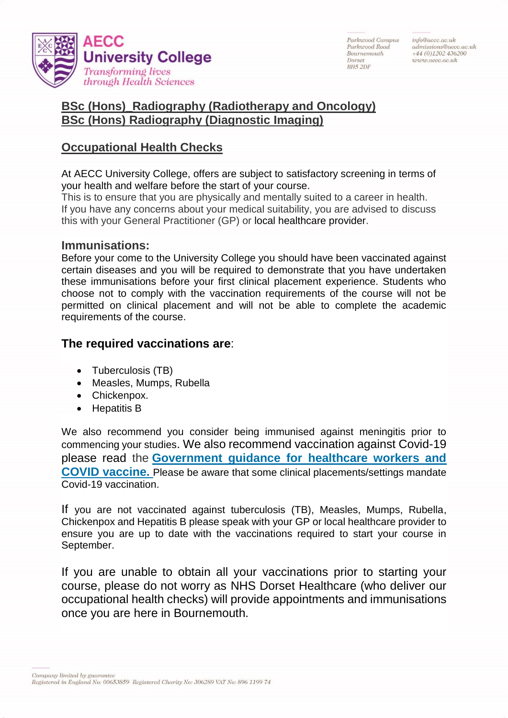

Parkwood Campus Parkssood Road Bournemouth Dorset **BH5 2DF** 

info@aecc.ac.uk  $admissions@aece.ac.uk$  $+44(0)1202436200$ www.aecc.ac.uk

## **BSc (Hons)\_Radiography (Radiotherapy and Oncology) BSc (Hons) Radiography (Diagnostic Imaging)**

## **Occupational Health Checks**

At AECC University College, offers are subject to satisfactory screening in terms of your health and welfare before the start of your course.

This is to ensure that you are physically and mentally suited to a career in health. If you have any concerns about your medical suitability, you are advised to discuss this with your General Practitioner (GP) or local healthcare provider.

## **Immunisations:**

Before your come to the University College you should have been vaccinated against certain diseases and you will be required to demonstrate that you have undertaken these immunisations before your first clinical placement experience. Students who choose not to comply with the vaccination requirements of the course will not be permitted on clinical placement and will not be able to complete the academic requirements of the course.

## **The required vaccinations are**:

- Tuberculosis (TB)
- Measles, Mumps, Rubella
- Chickenpox.
- Hepatitis B

We also recommend you consider being immunised against meningitis prior to commencing your studies. We also recommend vaccination against Covid-19 please read the **[Government guidance for healthcare workers and](https://www.gov.uk/government/publications/covid-19-vaccination-guide-for-healthcare-workers/covid-19-vaccination-guide-for-healthcare-workers)  [COVID vaccine.](https://www.gov.uk/government/publications/covid-19-vaccination-guide-for-healthcare-workers/covid-19-vaccination-guide-for-healthcare-workers)** Please be aware that some clinical placements/settings mandate Covid-19 vaccination.

If you are not vaccinated against tuberculosis (TB), Measles, Mumps, Rubella, Chickenpox and Hepatitis B please speak with your GP or local healthcare provider to ensure you are up to date with the vaccinations required to start your course in September.

If you are unable to obtain all your vaccinations prior to starting your course, please do not worry as NHS Dorset Healthcare (who deliver our occupational health checks) will provide appointments and immunisations once you are here in Bournemouth.